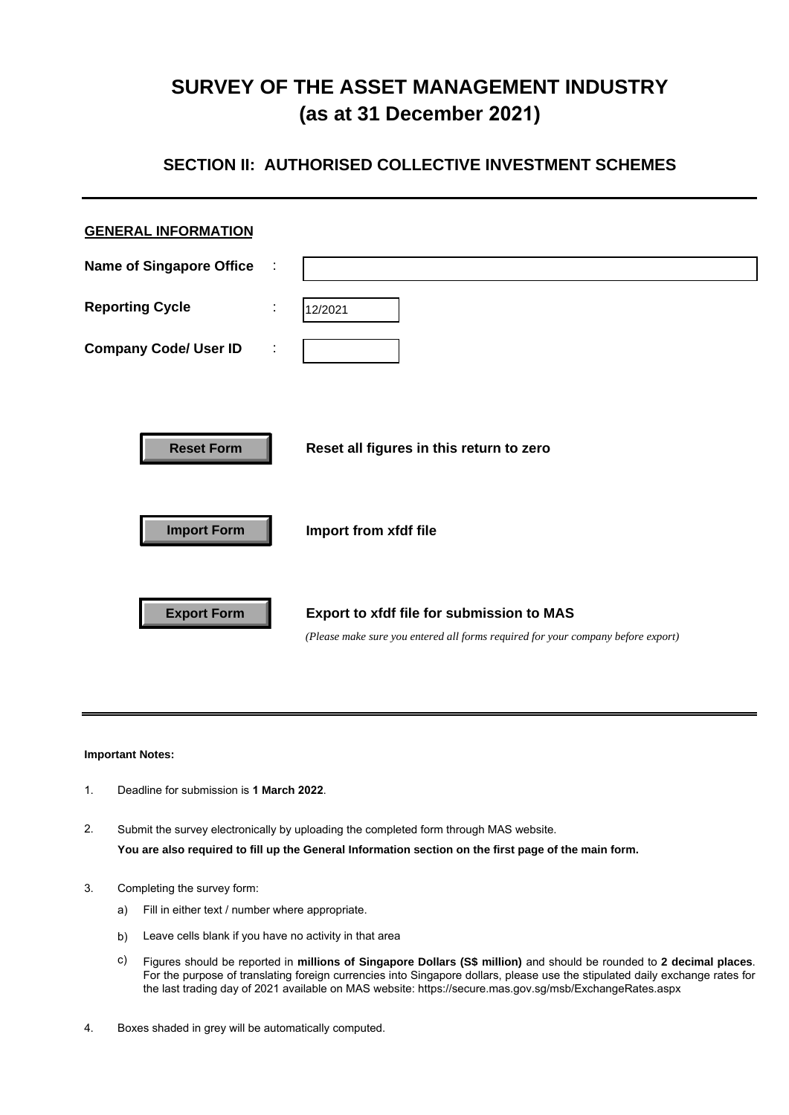# **SURVEY OF THE ASSET MANAGEMENT INDUSTRY (as at 31 December 2021)**

## **SECTION II: AUTHORISED COLLECTIVE INVESTMENT SCHEMES**

| <b>GENERAL INFORMATION</b>              |   |                                                                                                                               |
|-----------------------------------------|---|-------------------------------------------------------------------------------------------------------------------------------|
| <b>Name of Singapore Office</b>         | ÷ |                                                                                                                               |
| <b>Reporting Cycle</b>                  | ÷ | 12/2021                                                                                                                       |
| <b>Company Code/ User ID</b>            | ٠ |                                                                                                                               |
| <b>Reset Form</b><br><b>Import Form</b> |   | Reset all figures in this return to zero<br>Import from xfdf file                                                             |
| <b>Export Form</b>                      |   | Export to xfdf file for submission to MAS<br>(Please make sure you entered all forms required for your company before export) |

## **Important Notes:**

- 1. Deadline for submission is **1 March 2022**.
- 2. Submit the survey electronically by uploading the completed form through MAS website. **You are also required to fill up the General Information section on the first page of the main form.**
- 3. Completing the survey form:
	- a) Fill in either text / number where appropriate.
	- b) Leave cells blank if you have no activity in that area
	- c) Figures should be reported in **millions of Singapore Dollars (S\$ million)** and should be rounded to **2 decimal places**. For the purpose of translating foreign currencies into Singapore dollars, please use the stipulated daily exchange rates for the last trading day of 2021 available on MAS website: https://secure.mas.gov.sg/msb/ExchangeRates.aspx
- 4. Boxes shaded in grey will be automatically computed.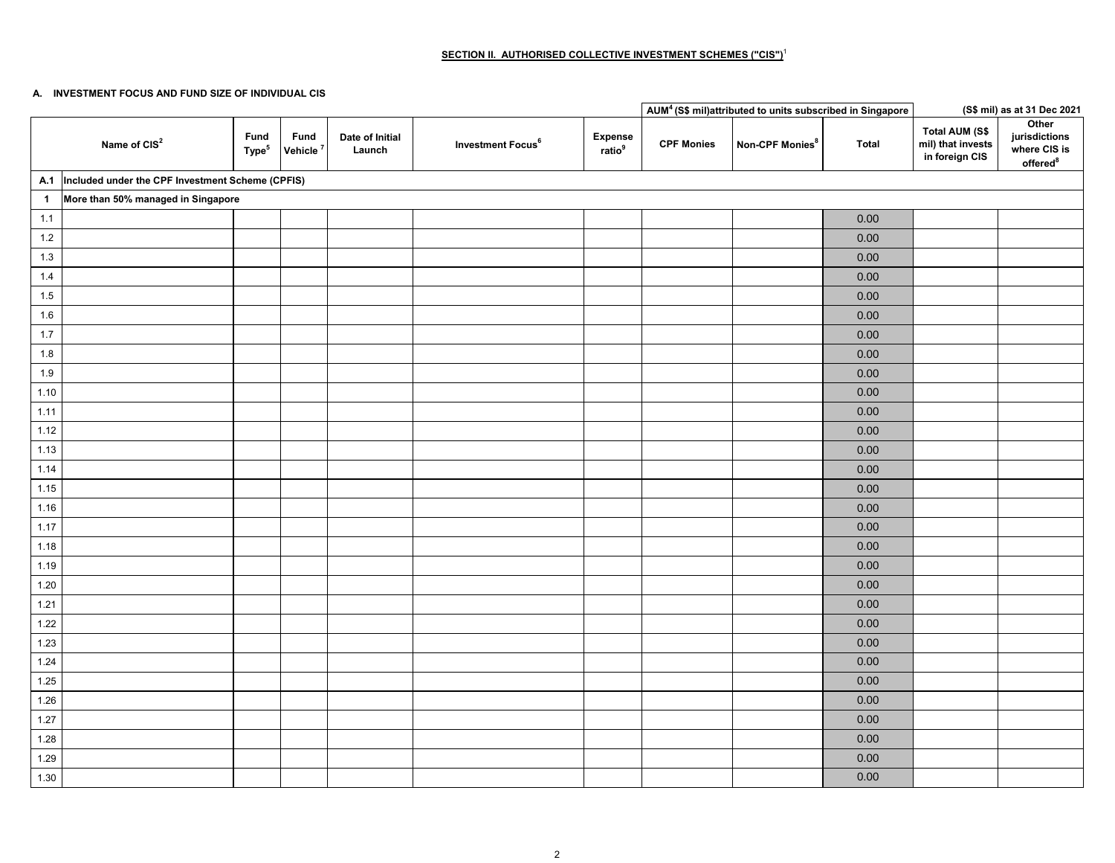## **SECTION II. AUTHORISED COLLECTIVE INVESTMENT SCHEMES ("CIS")**<sup>1</sup>

#### **A. INVESTMENT FOCUS AND FUND SIZE OF INDIVIDUAL CIS**

|                      |                                                       |                           |                              |                           |                               |                               |                   | AUM <sup>4</sup> (S\$ mil)attributed to units subscribed in Singapore |              |                                                       | (S\$ mil) as at 31 Dec 2021                                    |
|----------------------|-------------------------------------------------------|---------------------------|------------------------------|---------------------------|-------------------------------|-------------------------------|-------------------|-----------------------------------------------------------------------|--------------|-------------------------------------------------------|----------------------------------------------------------------|
|                      | Name of CIS <sup>2</sup>                              | Fund<br>Type <sup>5</sup> | Fund<br>Vehicle <sup>7</sup> | Date of Initial<br>Launch | Investment Focus <sup>6</sup> | Expense<br>ratio <sup>9</sup> | <b>CPF Monies</b> | Non-CPF Monies <sup>8</sup>                                           | <b>Total</b> | Total AUM (S\$<br>mil) that invests<br>in foreign CIS | Other<br>jurisdictions<br>where CIS is<br>offered <sup>8</sup> |
|                      | A.1  Included under the CPF Investment Scheme (CPFIS) |                           |                              |                           |                               |                               |                   |                                                                       |              |                                                       |                                                                |
| $\blacktriangleleft$ | More than 50% managed in Singapore                    |                           |                              |                           |                               |                               |                   |                                                                       |              |                                                       |                                                                |
| 1.1                  |                                                       |                           |                              |                           |                               |                               |                   |                                                                       | 0.00         |                                                       |                                                                |
| $1.2\,$              |                                                       |                           |                              |                           |                               |                               |                   |                                                                       | 0.00         |                                                       |                                                                |
| 1.3                  |                                                       |                           |                              |                           |                               |                               |                   |                                                                       | $0.00\,$     |                                                       |                                                                |
| 1.4                  |                                                       |                           |                              |                           |                               |                               |                   |                                                                       | $0.00\,$     |                                                       |                                                                |
| 1.5                  |                                                       |                           |                              |                           |                               |                               |                   |                                                                       | $0.00\,$     |                                                       |                                                                |
| 1.6                  |                                                       |                           |                              |                           |                               |                               |                   |                                                                       | 0.00         |                                                       |                                                                |
| 1.7                  |                                                       |                           |                              |                           |                               |                               |                   |                                                                       | 0.00         |                                                       |                                                                |
| $1.8$                |                                                       |                           |                              |                           |                               |                               |                   |                                                                       | 0.00         |                                                       |                                                                |
| 1.9                  |                                                       |                           |                              |                           |                               |                               |                   |                                                                       | 0.00         |                                                       |                                                                |
| 1.10                 |                                                       |                           |                              |                           |                               |                               |                   |                                                                       | 0.00         |                                                       |                                                                |
| 1.11                 |                                                       |                           |                              |                           |                               |                               |                   |                                                                       | 0.00         |                                                       |                                                                |
| 1.12                 |                                                       |                           |                              |                           |                               |                               |                   |                                                                       | $0.00\,$     |                                                       |                                                                |
| 1.13                 |                                                       |                           |                              |                           |                               |                               |                   |                                                                       | 0.00         |                                                       |                                                                |
| 1.14                 |                                                       |                           |                              |                           |                               |                               |                   |                                                                       | $0.00\,$     |                                                       |                                                                |
| 1.15                 |                                                       |                           |                              |                           |                               |                               |                   |                                                                       | $0.00\,$     |                                                       |                                                                |
| 1.16                 |                                                       |                           |                              |                           |                               |                               |                   |                                                                       | 0.00         |                                                       |                                                                |
| 1.17                 |                                                       |                           |                              |                           |                               |                               |                   |                                                                       | 0.00         |                                                       |                                                                |
| 1.18                 |                                                       |                           |                              |                           |                               |                               |                   |                                                                       | 0.00         |                                                       |                                                                |
| 1.19                 |                                                       |                           |                              |                           |                               |                               |                   |                                                                       | 0.00         |                                                       |                                                                |
| 1.20                 |                                                       |                           |                              |                           |                               |                               |                   |                                                                       | 0.00         |                                                       |                                                                |
| 1.21                 |                                                       |                           |                              |                           |                               |                               |                   |                                                                       | $0.00\,$     |                                                       |                                                                |
| 1.22                 |                                                       |                           |                              |                           |                               |                               |                   |                                                                       | 0.00         |                                                       |                                                                |
| 1.23                 |                                                       |                           |                              |                           |                               |                               |                   |                                                                       | 0.00         |                                                       |                                                                |
| 1.24                 |                                                       |                           |                              |                           |                               |                               |                   |                                                                       | 0.00         |                                                       |                                                                |
| 1.25                 |                                                       |                           |                              |                           |                               |                               |                   |                                                                       | 0.00         |                                                       |                                                                |
| 1.26                 |                                                       |                           |                              |                           |                               |                               |                   |                                                                       | 0.00         |                                                       |                                                                |
| 1.27                 |                                                       |                           |                              |                           |                               |                               |                   |                                                                       | 0.00         |                                                       |                                                                |
| 1.28                 |                                                       |                           |                              |                           |                               |                               |                   |                                                                       | 0.00         |                                                       |                                                                |
| 1.29                 |                                                       |                           |                              |                           |                               |                               |                   |                                                                       | 0.00         |                                                       |                                                                |
| 1.30                 |                                                       |                           |                              |                           |                               |                               |                   |                                                                       | $0.00\,$     |                                                       |                                                                |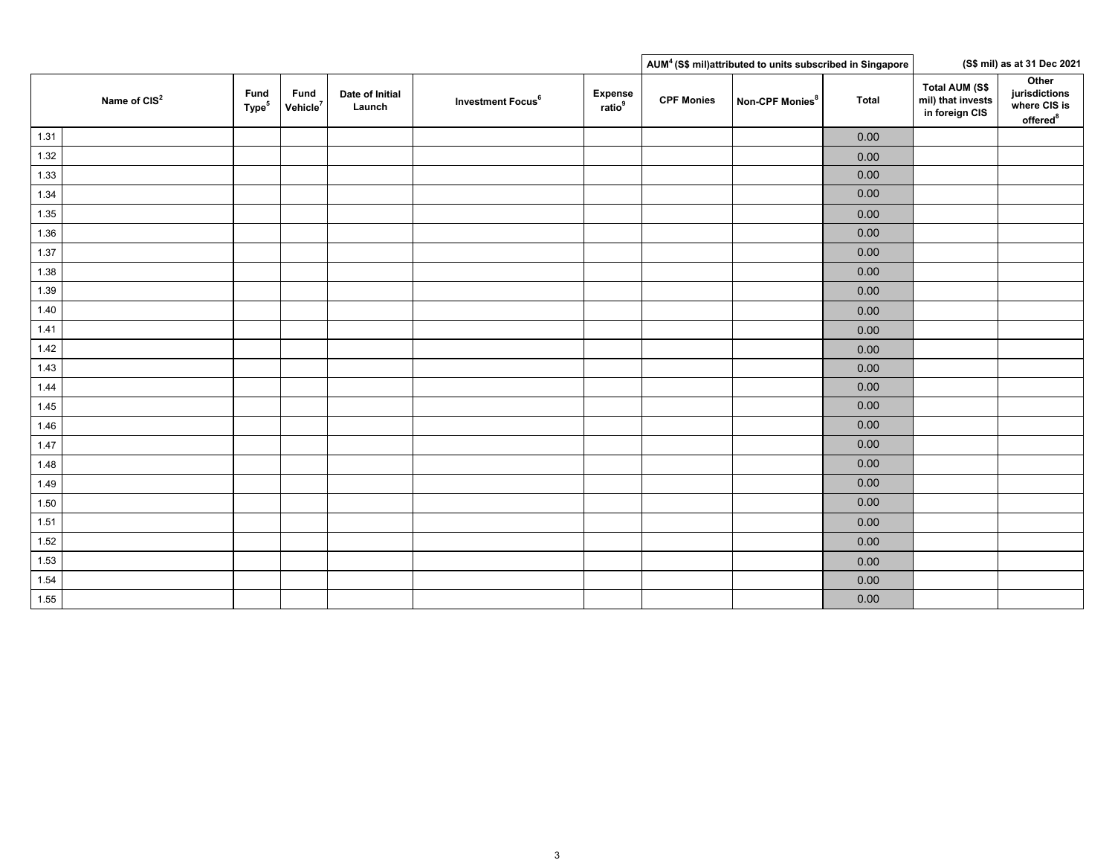|      |                          |                           |                              |                           |                               |                                      |                   | AUM <sup>4</sup> (S\$ mil)attributed to units subscribed in Singapore |              |                                                       | (S\$ mil) as at 31 Dec 2021                                    |
|------|--------------------------|---------------------------|------------------------------|---------------------------|-------------------------------|--------------------------------------|-------------------|-----------------------------------------------------------------------|--------------|-------------------------------------------------------|----------------------------------------------------------------|
|      | Name of CIS <sup>2</sup> | Fund<br>Type <sup>5</sup> | Fund<br>Vehicle <sup>7</sup> | Date of Initial<br>Launch | Investment Focus <sup>6</sup> | <b>Expense</b><br>ratio <sup>9</sup> | <b>CPF Monies</b> | Non-CPF Monies <sup>8</sup>                                           | <b>Total</b> | Total AUM (S\$<br>mil) that invests<br>in foreign CIS | Other<br>jurisdictions<br>where CIS is<br>offered <sup>8</sup> |
| 1.31 |                          |                           |                              |                           |                               |                                      |                   |                                                                       | $0.00\,$     |                                                       |                                                                |
| 1.32 |                          |                           |                              |                           |                               |                                      |                   |                                                                       | 0.00         |                                                       |                                                                |
| 1.33 |                          |                           |                              |                           |                               |                                      |                   |                                                                       | $0.00\,$     |                                                       |                                                                |
| 1.34 |                          |                           |                              |                           |                               |                                      |                   |                                                                       | 0.00         |                                                       |                                                                |
| 1.35 |                          |                           |                              |                           |                               |                                      |                   |                                                                       | 0.00         |                                                       |                                                                |
| 1.36 |                          |                           |                              |                           |                               |                                      |                   |                                                                       | 0.00         |                                                       |                                                                |
| 1.37 |                          |                           |                              |                           |                               |                                      |                   |                                                                       | 0.00         |                                                       |                                                                |
| 1.38 |                          |                           |                              |                           |                               |                                      |                   |                                                                       | 0.00         |                                                       |                                                                |
| 1.39 |                          |                           |                              |                           |                               |                                      |                   |                                                                       | $0.00\,$     |                                                       |                                                                |
| 1.40 |                          |                           |                              |                           |                               |                                      |                   |                                                                       | $0.00\,$     |                                                       |                                                                |
| 1.41 |                          |                           |                              |                           |                               |                                      |                   |                                                                       | 0.00         |                                                       |                                                                |
| 1.42 |                          |                           |                              |                           |                               |                                      |                   |                                                                       | 0.00         |                                                       |                                                                |
| 1.43 |                          |                           |                              |                           |                               |                                      |                   |                                                                       | 0.00         |                                                       |                                                                |
| 1.44 |                          |                           |                              |                           |                               |                                      |                   |                                                                       | 0.00         |                                                       |                                                                |
| 1.45 |                          |                           |                              |                           |                               |                                      |                   |                                                                       | $0.00\,$     |                                                       |                                                                |
| 1.46 |                          |                           |                              |                           |                               |                                      |                   |                                                                       | $0.00\,$     |                                                       |                                                                |
| 1.47 |                          |                           |                              |                           |                               |                                      |                   |                                                                       | 0.00         |                                                       |                                                                |
| 1.48 |                          |                           |                              |                           |                               |                                      |                   |                                                                       | 0.00         |                                                       |                                                                |
| 1.49 |                          |                           |                              |                           |                               |                                      |                   |                                                                       | 0.00         |                                                       |                                                                |
| 1.50 |                          |                           |                              |                           |                               |                                      |                   |                                                                       | 0.00         |                                                       |                                                                |
| 1.51 |                          |                           |                              |                           |                               |                                      |                   |                                                                       | 0.00         |                                                       |                                                                |
| 1.52 |                          |                           |                              |                           |                               |                                      |                   |                                                                       | $0.00\,$     |                                                       |                                                                |
| 1.53 |                          |                           |                              |                           |                               |                                      |                   |                                                                       | 0.00         |                                                       |                                                                |
| 1.54 |                          |                           |                              |                           |                               |                                      |                   |                                                                       | 0.00         |                                                       |                                                                |
| 1.55 |                          |                           |                              |                           |                               |                                      |                   |                                                                       | 0.00         |                                                       |                                                                |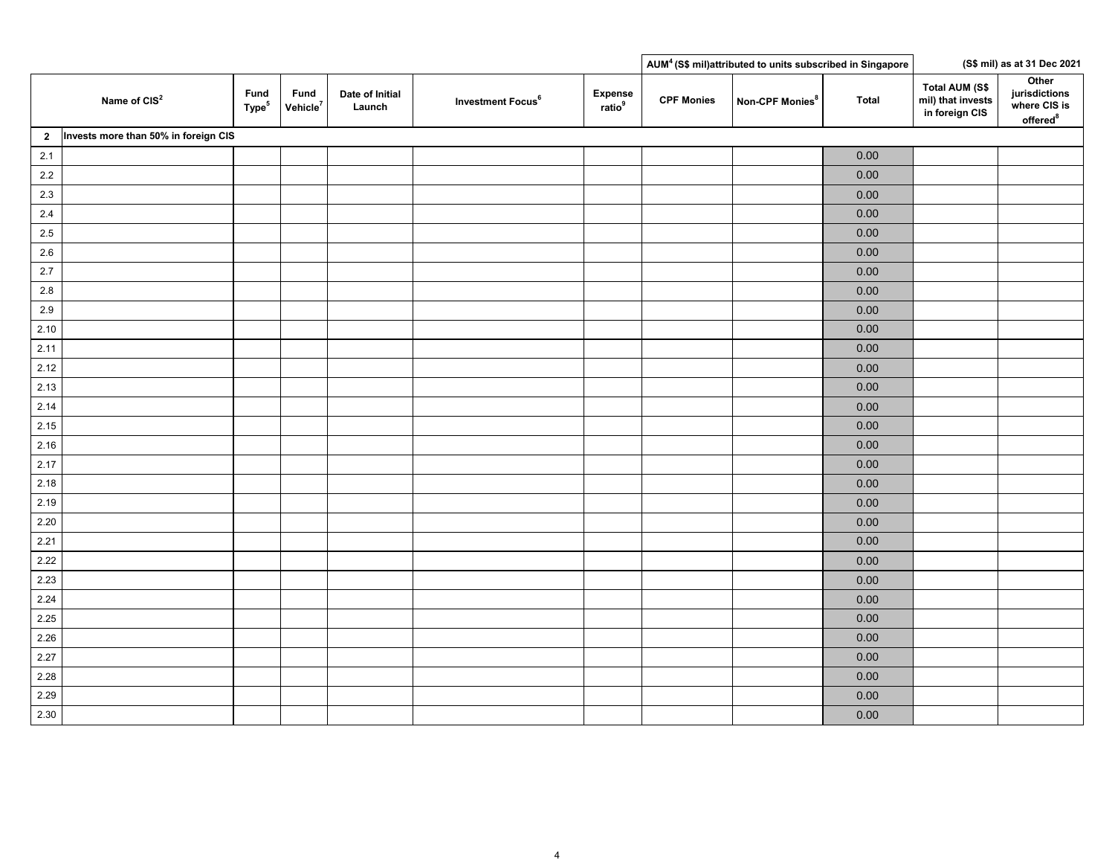|                |                                      |                           |                              |                           |                               |                               |                   | AUM <sup>4</sup> (S\$ mil)attributed to units subscribed in Singapore |              |                                                              | (S\$ mil) as at 31 Dec 2021                                    |
|----------------|--------------------------------------|---------------------------|------------------------------|---------------------------|-------------------------------|-------------------------------|-------------------|-----------------------------------------------------------------------|--------------|--------------------------------------------------------------|----------------------------------------------------------------|
|                | Name of CIS <sup>2</sup>             | Fund<br>Type <sup>5</sup> | Fund<br>Vehicle <sup>7</sup> | Date of Initial<br>Launch | Investment Focus <sup>6</sup> | Expense<br>ratio <sup>9</sup> | <b>CPF Monies</b> | Non-CPF Monies <sup>8</sup>                                           | <b>Total</b> | <b>Total AUM (S\$</b><br>mil) that invests<br>in foreign CIS | Other<br>jurisdictions<br>where CIS is<br>offered <sup>8</sup> |
| $\overline{2}$ | Invests more than 50% in foreign CIS |                           |                              |                           |                               |                               |                   |                                                                       |              |                                                              |                                                                |
| $2.1$          |                                      |                           |                              |                           |                               |                               |                   |                                                                       | 0.00         |                                                              |                                                                |
| $2.2\,$        |                                      |                           |                              |                           |                               |                               |                   |                                                                       | 0.00         |                                                              |                                                                |
| $2.3\,$        |                                      |                           |                              |                           |                               |                               |                   |                                                                       | $0.00\,$     |                                                              |                                                                |
| 2.4            |                                      |                           |                              |                           |                               |                               |                   |                                                                       | $0.00\,$     |                                                              |                                                                |
| $2.5\,$        |                                      |                           |                              |                           |                               |                               |                   |                                                                       | $0.00\,$     |                                                              |                                                                |
| $2.6\,$        |                                      |                           |                              |                           |                               |                               |                   |                                                                       | $0.00\,$     |                                                              |                                                                |
| 2.7            |                                      |                           |                              |                           |                               |                               |                   |                                                                       | $0.00\,$     |                                                              |                                                                |
| $2.8\,$        |                                      |                           |                              |                           |                               |                               |                   |                                                                       | $0.00\,$     |                                                              |                                                                |
| $2.9\,$        |                                      |                           |                              |                           |                               |                               |                   |                                                                       | $0.00\,$     |                                                              |                                                                |
| 2.10           |                                      |                           |                              |                           |                               |                               |                   |                                                                       | $0.00\,$     |                                                              |                                                                |
| 2.11           |                                      |                           |                              |                           |                               |                               |                   |                                                                       | $0.00\,$     |                                                              |                                                                |
| 2.12           |                                      |                           |                              |                           |                               |                               |                   |                                                                       | $0.00\,$     |                                                              |                                                                |
| 2.13           |                                      |                           |                              |                           |                               |                               |                   |                                                                       | 0.00         |                                                              |                                                                |
| 2.14           |                                      |                           |                              |                           |                               |                               |                   |                                                                       | $0.00\,$     |                                                              |                                                                |
| 2.15           |                                      |                           |                              |                           |                               |                               |                   |                                                                       | $0.00\,$     |                                                              |                                                                |
| 2.16           |                                      |                           |                              |                           |                               |                               |                   |                                                                       | $0.00\,$     |                                                              |                                                                |
| 2.17           |                                      |                           |                              |                           |                               |                               |                   |                                                                       | $0.00\,$     |                                                              |                                                                |
| 2.18           |                                      |                           |                              |                           |                               |                               |                   |                                                                       | 0.00         |                                                              |                                                                |
| 2.19           |                                      |                           |                              |                           |                               |                               |                   |                                                                       | $0.00\,$     |                                                              |                                                                |
| 2.20           |                                      |                           |                              |                           |                               |                               |                   |                                                                       | $0.00\,$     |                                                              |                                                                |
| 2.21           |                                      |                           |                              |                           |                               |                               |                   |                                                                       | $0.00\,$     |                                                              |                                                                |
| 2.22           |                                      |                           |                              |                           |                               |                               |                   |                                                                       | $0.00\,$     |                                                              |                                                                |
| 2.23           |                                      |                           |                              |                           |                               |                               |                   |                                                                       | $0.00\,$     |                                                              |                                                                |
| 2.24           |                                      |                           |                              |                           |                               |                               |                   |                                                                       | 0.00         |                                                              |                                                                |
| 2.25           |                                      |                           |                              |                           |                               |                               |                   |                                                                       | $0.00\,$     |                                                              |                                                                |
| 2.26           |                                      |                           |                              |                           |                               |                               |                   |                                                                       | $0.00\,$     |                                                              |                                                                |
| 2.27           |                                      |                           |                              |                           |                               |                               |                   |                                                                       | $0.00\,$     |                                                              |                                                                |
| 2.28           |                                      |                           |                              |                           |                               |                               |                   |                                                                       | $0.00\,$     |                                                              |                                                                |
| 2.29           |                                      |                           |                              |                           |                               |                               |                   |                                                                       | $0.00\,$     |                                                              |                                                                |
| 2.30           |                                      |                           |                              |                           |                               |                               |                   |                                                                       | $0.00\,$     |                                                              |                                                                |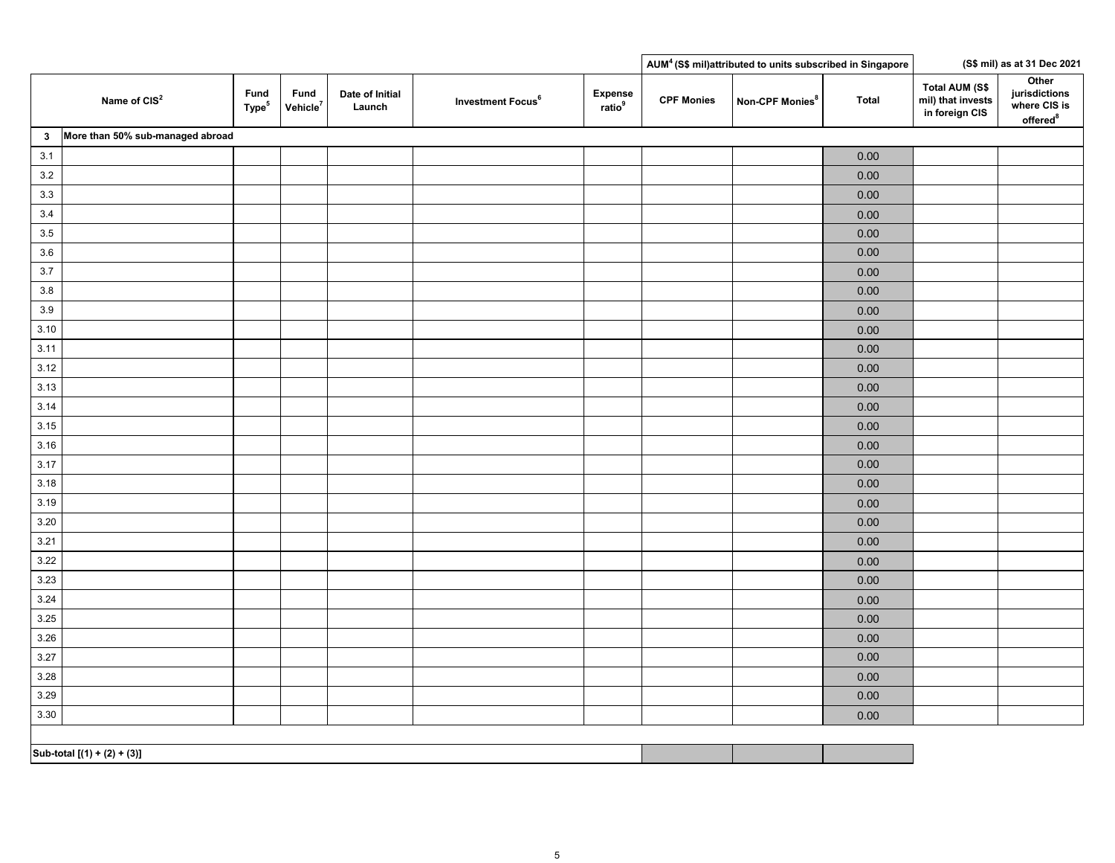| Other<br><b>Total AUM (S\$</b><br>jurisdictions<br>Fund<br>Fund<br>Expense<br>ratio <sup>9</sup><br>Date of Initial<br>Name of CIS <sup>2</sup><br><b>CPF Monies</b><br>Investment Focus <sup>6</sup><br>Non-CPF Monies <sup>8</sup><br><b>Total</b><br>mil) that invests<br>Type <sup>5</sup><br>where CIS is<br>Vehicle $^7$<br>Launch<br>in foreign CIS<br>offered <sup>8</sup><br>More than 50% sub-managed abroad<br>3 <sub>o</sub><br>$3.1$<br>0.00<br>$3.2\,$<br>0.00<br>3.3<br>0.00<br>$3.4$<br>0.00<br>$3.5\,$<br>0.00<br>$3.6\,$<br>0.00<br>3.7<br>0.00<br>$3.8\,$<br>0.00<br>$3.9\,$<br>$0.00\,$<br>3.10<br>0.00<br>3.11<br>0.00<br>3.12<br>$0.00\,$<br>3.13<br>$0.00\,$<br>3.14<br>$0.00\,$<br>3.15<br>0.00<br>3.16<br>$0.00\,$<br>3.17<br>$0.00\,$<br>3.18<br>0.00<br>3.19<br>0.00<br>3.20<br>0.00<br>0.00<br>3.21<br>3.22<br>$0.00\,$<br>3.23<br>$0.00\,$<br>3.24<br>$0.00\,$<br>3.25<br>$0.00\,$<br>3.26<br>$0.00\,$<br>3.27<br>$0.00\,$<br>3.28<br>$0.00\,$<br>3.29<br>0.00<br>3.30<br>0.00 |  |  |  |  | AUM <sup>4</sup> (S\$ mil)attributed to units subscribed in Singapore |  | (S\$ mil) as at 31 Dec 2021 |
|-------------------------------------------------------------------------------------------------------------------------------------------------------------------------------------------------------------------------------------------------------------------------------------------------------------------------------------------------------------------------------------------------------------------------------------------------------------------------------------------------------------------------------------------------------------------------------------------------------------------------------------------------------------------------------------------------------------------------------------------------------------------------------------------------------------------------------------------------------------------------------------------------------------------------------------------------------------------------------------------------------------|--|--|--|--|-----------------------------------------------------------------------|--|-----------------------------|
|                                                                                                                                                                                                                                                                                                                                                                                                                                                                                                                                                                                                                                                                                                                                                                                                                                                                                                                                                                                                             |  |  |  |  |                                                                       |  |                             |
|                                                                                                                                                                                                                                                                                                                                                                                                                                                                                                                                                                                                                                                                                                                                                                                                                                                                                                                                                                                                             |  |  |  |  |                                                                       |  |                             |
|                                                                                                                                                                                                                                                                                                                                                                                                                                                                                                                                                                                                                                                                                                                                                                                                                                                                                                                                                                                                             |  |  |  |  |                                                                       |  |                             |
|                                                                                                                                                                                                                                                                                                                                                                                                                                                                                                                                                                                                                                                                                                                                                                                                                                                                                                                                                                                                             |  |  |  |  |                                                                       |  |                             |
|                                                                                                                                                                                                                                                                                                                                                                                                                                                                                                                                                                                                                                                                                                                                                                                                                                                                                                                                                                                                             |  |  |  |  |                                                                       |  |                             |
|                                                                                                                                                                                                                                                                                                                                                                                                                                                                                                                                                                                                                                                                                                                                                                                                                                                                                                                                                                                                             |  |  |  |  |                                                                       |  |                             |
|                                                                                                                                                                                                                                                                                                                                                                                                                                                                                                                                                                                                                                                                                                                                                                                                                                                                                                                                                                                                             |  |  |  |  |                                                                       |  |                             |
|                                                                                                                                                                                                                                                                                                                                                                                                                                                                                                                                                                                                                                                                                                                                                                                                                                                                                                                                                                                                             |  |  |  |  |                                                                       |  |                             |
|                                                                                                                                                                                                                                                                                                                                                                                                                                                                                                                                                                                                                                                                                                                                                                                                                                                                                                                                                                                                             |  |  |  |  |                                                                       |  |                             |
|                                                                                                                                                                                                                                                                                                                                                                                                                                                                                                                                                                                                                                                                                                                                                                                                                                                                                                                                                                                                             |  |  |  |  |                                                                       |  |                             |
|                                                                                                                                                                                                                                                                                                                                                                                                                                                                                                                                                                                                                                                                                                                                                                                                                                                                                                                                                                                                             |  |  |  |  |                                                                       |  |                             |
|                                                                                                                                                                                                                                                                                                                                                                                                                                                                                                                                                                                                                                                                                                                                                                                                                                                                                                                                                                                                             |  |  |  |  |                                                                       |  |                             |
|                                                                                                                                                                                                                                                                                                                                                                                                                                                                                                                                                                                                                                                                                                                                                                                                                                                                                                                                                                                                             |  |  |  |  |                                                                       |  |                             |
|                                                                                                                                                                                                                                                                                                                                                                                                                                                                                                                                                                                                                                                                                                                                                                                                                                                                                                                                                                                                             |  |  |  |  |                                                                       |  |                             |
|                                                                                                                                                                                                                                                                                                                                                                                                                                                                                                                                                                                                                                                                                                                                                                                                                                                                                                                                                                                                             |  |  |  |  |                                                                       |  |                             |
|                                                                                                                                                                                                                                                                                                                                                                                                                                                                                                                                                                                                                                                                                                                                                                                                                                                                                                                                                                                                             |  |  |  |  |                                                                       |  |                             |
|                                                                                                                                                                                                                                                                                                                                                                                                                                                                                                                                                                                                                                                                                                                                                                                                                                                                                                                                                                                                             |  |  |  |  |                                                                       |  |                             |
|                                                                                                                                                                                                                                                                                                                                                                                                                                                                                                                                                                                                                                                                                                                                                                                                                                                                                                                                                                                                             |  |  |  |  |                                                                       |  |                             |
|                                                                                                                                                                                                                                                                                                                                                                                                                                                                                                                                                                                                                                                                                                                                                                                                                                                                                                                                                                                                             |  |  |  |  |                                                                       |  |                             |
|                                                                                                                                                                                                                                                                                                                                                                                                                                                                                                                                                                                                                                                                                                                                                                                                                                                                                                                                                                                                             |  |  |  |  |                                                                       |  |                             |
|                                                                                                                                                                                                                                                                                                                                                                                                                                                                                                                                                                                                                                                                                                                                                                                                                                                                                                                                                                                                             |  |  |  |  |                                                                       |  |                             |
|                                                                                                                                                                                                                                                                                                                                                                                                                                                                                                                                                                                                                                                                                                                                                                                                                                                                                                                                                                                                             |  |  |  |  |                                                                       |  |                             |
|                                                                                                                                                                                                                                                                                                                                                                                                                                                                                                                                                                                                                                                                                                                                                                                                                                                                                                                                                                                                             |  |  |  |  |                                                                       |  |                             |
|                                                                                                                                                                                                                                                                                                                                                                                                                                                                                                                                                                                                                                                                                                                                                                                                                                                                                                                                                                                                             |  |  |  |  |                                                                       |  |                             |
|                                                                                                                                                                                                                                                                                                                                                                                                                                                                                                                                                                                                                                                                                                                                                                                                                                                                                                                                                                                                             |  |  |  |  |                                                                       |  |                             |
|                                                                                                                                                                                                                                                                                                                                                                                                                                                                                                                                                                                                                                                                                                                                                                                                                                                                                                                                                                                                             |  |  |  |  |                                                                       |  |                             |
|                                                                                                                                                                                                                                                                                                                                                                                                                                                                                                                                                                                                                                                                                                                                                                                                                                                                                                                                                                                                             |  |  |  |  |                                                                       |  |                             |
|                                                                                                                                                                                                                                                                                                                                                                                                                                                                                                                                                                                                                                                                                                                                                                                                                                                                                                                                                                                                             |  |  |  |  |                                                                       |  |                             |
|                                                                                                                                                                                                                                                                                                                                                                                                                                                                                                                                                                                                                                                                                                                                                                                                                                                                                                                                                                                                             |  |  |  |  |                                                                       |  |                             |
|                                                                                                                                                                                                                                                                                                                                                                                                                                                                                                                                                                                                                                                                                                                                                                                                                                                                                                                                                                                                             |  |  |  |  |                                                                       |  |                             |
|                                                                                                                                                                                                                                                                                                                                                                                                                                                                                                                                                                                                                                                                                                                                                                                                                                                                                                                                                                                                             |  |  |  |  |                                                                       |  |                             |
|                                                                                                                                                                                                                                                                                                                                                                                                                                                                                                                                                                                                                                                                                                                                                                                                                                                                                                                                                                                                             |  |  |  |  |                                                                       |  |                             |
|                                                                                                                                                                                                                                                                                                                                                                                                                                                                                                                                                                                                                                                                                                                                                                                                                                                                                                                                                                                                             |  |  |  |  |                                                                       |  |                             |

**Sub-total [(1) + (2) + (3)]**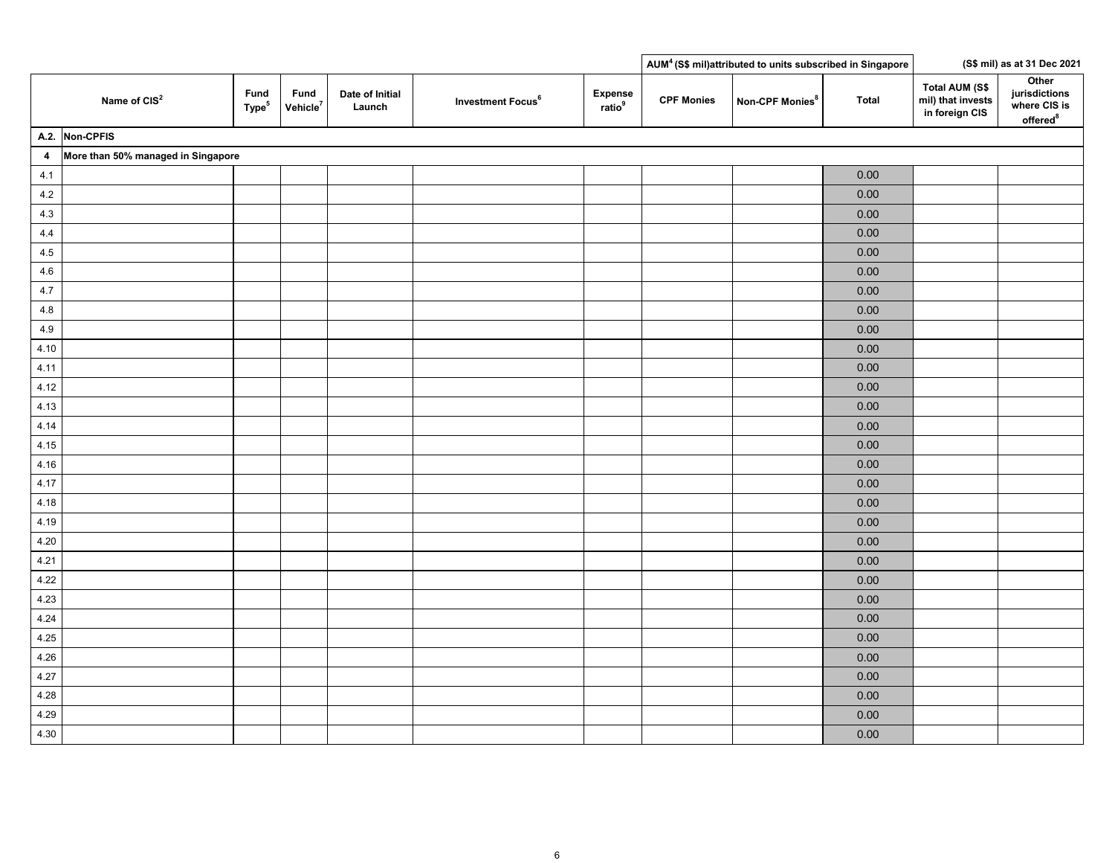|                         |                                    |                           |                              |                           |                               |                                      |                   | AUM <sup>4</sup> (S\$ mil)attributed to units subscribed in Singapore |          |                                                              | (S\$ mil) as at 31 Dec 2021                           |
|-------------------------|------------------------------------|---------------------------|------------------------------|---------------------------|-------------------------------|--------------------------------------|-------------------|-----------------------------------------------------------------------|----------|--------------------------------------------------------------|-------------------------------------------------------|
|                         | Name of CIS <sup>2</sup>           | Fund<br>Type <sup>5</sup> | Fund<br>Vehicle <sup>7</sup> | Date of Initial<br>Launch | Investment Focus <sup>6</sup> | <b>Expense</b><br>ratio <sup>9</sup> | <b>CPF Monies</b> | Non-CPF Monies <sup>8</sup>                                           | Total    | <b>Total AUM (S\$</b><br>mil) that invests<br>in foreign CIS | Other<br>jurisdictions<br>where CIS is<br>offered $8$ |
|                         | A.2. Non-CPFIS                     |                           |                              |                           |                               |                                      |                   |                                                                       |          |                                                              |                                                       |
| $\overline{\mathbf{4}}$ | More than 50% managed in Singapore |                           |                              |                           |                               |                                      |                   |                                                                       |          |                                                              |                                                       |
| 4.1                     |                                    |                           |                              |                           |                               |                                      |                   |                                                                       | 0.00     |                                                              |                                                       |
| $4.2\,$                 |                                    |                           |                              |                           |                               |                                      |                   |                                                                       | 0.00     |                                                              |                                                       |
| 4.3                     |                                    |                           |                              |                           |                               |                                      |                   |                                                                       | 0.00     |                                                              |                                                       |
| 4.4                     |                                    |                           |                              |                           |                               |                                      |                   |                                                                       | 0.00     |                                                              |                                                       |
| $4.5\,$                 |                                    |                           |                              |                           |                               |                                      |                   |                                                                       | 0.00     |                                                              |                                                       |
| 4.6                     |                                    |                           |                              |                           |                               |                                      |                   |                                                                       | 0.00     |                                                              |                                                       |
| 4.7                     |                                    |                           |                              |                           |                               |                                      |                   |                                                                       | $0.00\,$ |                                                              |                                                       |
| 4.8                     |                                    |                           |                              |                           |                               |                                      |                   |                                                                       | 0.00     |                                                              |                                                       |
| 4.9                     |                                    |                           |                              |                           |                               |                                      |                   |                                                                       | 0.00     |                                                              |                                                       |
| 4.10                    |                                    |                           |                              |                           |                               |                                      |                   |                                                                       | 0.00     |                                                              |                                                       |
| 4.11                    |                                    |                           |                              |                           |                               |                                      |                   |                                                                       | 0.00     |                                                              |                                                       |
| 4.12                    |                                    |                           |                              |                           |                               |                                      |                   |                                                                       | $0.00\,$ |                                                              |                                                       |
| 4.13                    |                                    |                           |                              |                           |                               |                                      |                   |                                                                       | 0.00     |                                                              |                                                       |
| 4.14                    |                                    |                           |                              |                           |                               |                                      |                   |                                                                       | 0.00     |                                                              |                                                       |
| 4.15                    |                                    |                           |                              |                           |                               |                                      |                   |                                                                       | 0.00     |                                                              |                                                       |
| 4.16                    |                                    |                           |                              |                           |                               |                                      |                   |                                                                       | 0.00     |                                                              |                                                       |
| 4.17                    |                                    |                           |                              |                           |                               |                                      |                   |                                                                       | 0.00     |                                                              |                                                       |
| 4.18                    |                                    |                           |                              |                           |                               |                                      |                   |                                                                       | 0.00     |                                                              |                                                       |
| 4.19                    |                                    |                           |                              |                           |                               |                                      |                   |                                                                       | 0.00     |                                                              |                                                       |
| 4.20                    |                                    |                           |                              |                           |                               |                                      |                   |                                                                       | 0.00     |                                                              |                                                       |
| 4.21                    |                                    |                           |                              |                           |                               |                                      |                   |                                                                       | 0.00     |                                                              |                                                       |
| 4.22                    |                                    |                           |                              |                           |                               |                                      |                   |                                                                       | 0.00     |                                                              |                                                       |
| 4.23                    |                                    |                           |                              |                           |                               |                                      |                   |                                                                       | 0.00     |                                                              |                                                       |
| 4.24                    |                                    |                           |                              |                           |                               |                                      |                   |                                                                       | 0.00     |                                                              |                                                       |
| 4.25                    |                                    |                           |                              |                           |                               |                                      |                   |                                                                       | 0.00     |                                                              |                                                       |
| 4.26                    |                                    |                           |                              |                           |                               |                                      |                   |                                                                       | 0.00     |                                                              |                                                       |
| 4.27                    |                                    |                           |                              |                           |                               |                                      |                   |                                                                       | 0.00     |                                                              |                                                       |
| 4.28                    |                                    |                           |                              |                           |                               |                                      |                   |                                                                       | $0.00\,$ |                                                              |                                                       |
| 4.29                    |                                    |                           |                              |                           |                               |                                      |                   |                                                                       | 0.00     |                                                              |                                                       |
| 4.30                    |                                    |                           |                              |                           |                               |                                      |                   |                                                                       | 0.00     |                                                              |                                                       |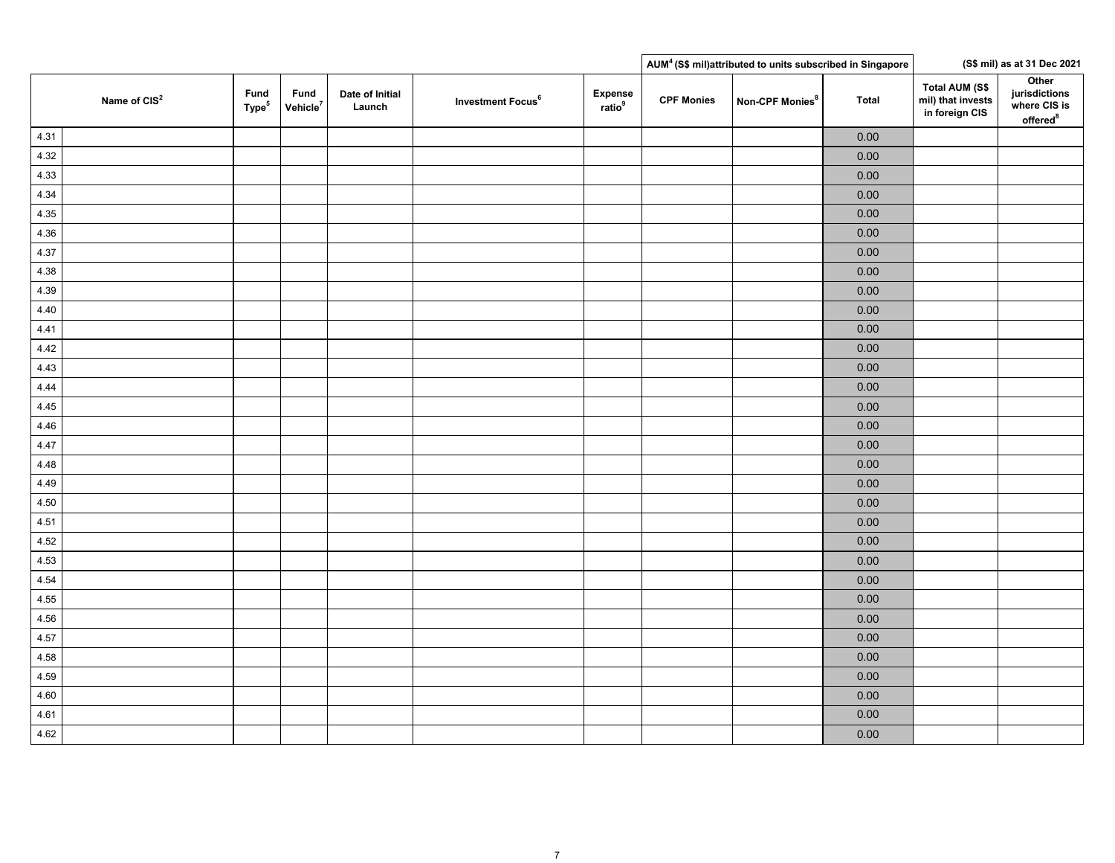|                          |                           |                              |                           |                               |                               |                   | AUM <sup>4</sup> (S\$ mil)attributed to units subscribed in Singapore |              |                                                       | (S\$ mil) as at 31 Dec 2021                                    |
|--------------------------|---------------------------|------------------------------|---------------------------|-------------------------------|-------------------------------|-------------------|-----------------------------------------------------------------------|--------------|-------------------------------------------------------|----------------------------------------------------------------|
| Name of CIS <sup>2</sup> | Fund<br>Type <sup>5</sup> | Fund<br>Vehicle <sup>7</sup> | Date of Initial<br>Launch | Investment Focus <sup>6</sup> | Expense<br>ratio <sup>9</sup> | <b>CPF Monies</b> | Non-CPF Monies <sup>8</sup>                                           | <b>Total</b> | Total AUM (S\$<br>mil) that invests<br>in foreign CIS | Other<br>jurisdictions<br>where CIS is<br>offered <sup>8</sup> |
| 4.31                     |                           |                              |                           |                               |                               |                   |                                                                       | $0.00\,$     |                                                       |                                                                |
| 4.32                     |                           |                              |                           |                               |                               |                   |                                                                       | $0.00\,$     |                                                       |                                                                |
| 4.33                     |                           |                              |                           |                               |                               |                   |                                                                       | 0.00         |                                                       |                                                                |
| 4.34                     |                           |                              |                           |                               |                               |                   |                                                                       | $0.00\,$     |                                                       |                                                                |
| 4.35                     |                           |                              |                           |                               |                               |                   |                                                                       | $0.00\,$     |                                                       |                                                                |
| 4.36                     |                           |                              |                           |                               |                               |                   |                                                                       | $0.00\,$     |                                                       |                                                                |
| 4.37                     |                           |                              |                           |                               |                               |                   |                                                                       | $0.00\,$     |                                                       |                                                                |
| 4.38                     |                           |                              |                           |                               |                               |                   |                                                                       | 0.00         |                                                       |                                                                |
| 4.39                     |                           |                              |                           |                               |                               |                   |                                                                       | $0.00\,$     |                                                       |                                                                |
| 4.40                     |                           |                              |                           |                               |                               |                   |                                                                       | $0.00\,$     |                                                       |                                                                |
| 4.41                     |                           |                              |                           |                               |                               |                   |                                                                       | $0.00\,$     |                                                       |                                                                |
| 4.42                     |                           |                              |                           |                               |                               |                   |                                                                       | $0.00\,$     |                                                       |                                                                |
| 4.43                     |                           |                              |                           |                               |                               |                   |                                                                       | $0.00\,$     |                                                       |                                                                |
| 4.44                     |                           |                              |                           |                               |                               |                   |                                                                       | $0.00\,$     |                                                       |                                                                |
| 4.45                     |                           |                              |                           |                               |                               |                   |                                                                       | $0.00\,$     |                                                       |                                                                |
| 4.46                     |                           |                              |                           |                               |                               |                   |                                                                       | $0.00\,$     |                                                       |                                                                |
| 4.47                     |                           |                              |                           |                               |                               |                   |                                                                       | $0.00\,$     |                                                       |                                                                |
| 4.48                     |                           |                              |                           |                               |                               |                   |                                                                       | $0.00\,$     |                                                       |                                                                |
| 4.49                     |                           |                              |                           |                               |                               |                   |                                                                       | $0.00\,$     |                                                       |                                                                |
| 4.50                     |                           |                              |                           |                               |                               |                   |                                                                       | $0.00\,$     |                                                       |                                                                |
| 4.51                     |                           |                              |                           |                               |                               |                   |                                                                       | $0.00\,$     |                                                       |                                                                |
| 4.52                     |                           |                              |                           |                               |                               |                   |                                                                       | $0.00\,$     |                                                       |                                                                |
| 4.53                     |                           |                              |                           |                               |                               |                   |                                                                       | $0.00\,$     |                                                       |                                                                |
| 4.54                     |                           |                              |                           |                               |                               |                   |                                                                       | $0.00\,$     |                                                       |                                                                |
| 4.55                     |                           |                              |                           |                               |                               |                   |                                                                       | $0.00\,$     |                                                       |                                                                |
| 4.56                     |                           |                              |                           |                               |                               |                   |                                                                       | $0.00\,$     |                                                       |                                                                |
| 4.57                     |                           |                              |                           |                               |                               |                   |                                                                       | $0.00\,$     |                                                       |                                                                |
| 4.58                     |                           |                              |                           |                               |                               |                   |                                                                       | $0.00\,$     |                                                       |                                                                |
| 4.59                     |                           |                              |                           |                               |                               |                   |                                                                       | $0.00\,$     |                                                       |                                                                |
| 4.60                     |                           |                              |                           |                               |                               |                   |                                                                       | $0.00\,$     |                                                       |                                                                |
| 4.61                     |                           |                              |                           |                               |                               |                   |                                                                       | $0.00\,$     |                                                       |                                                                |
| 4.62                     |                           |                              |                           |                               |                               |                   |                                                                       | $0.00\,$     |                                                       |                                                                |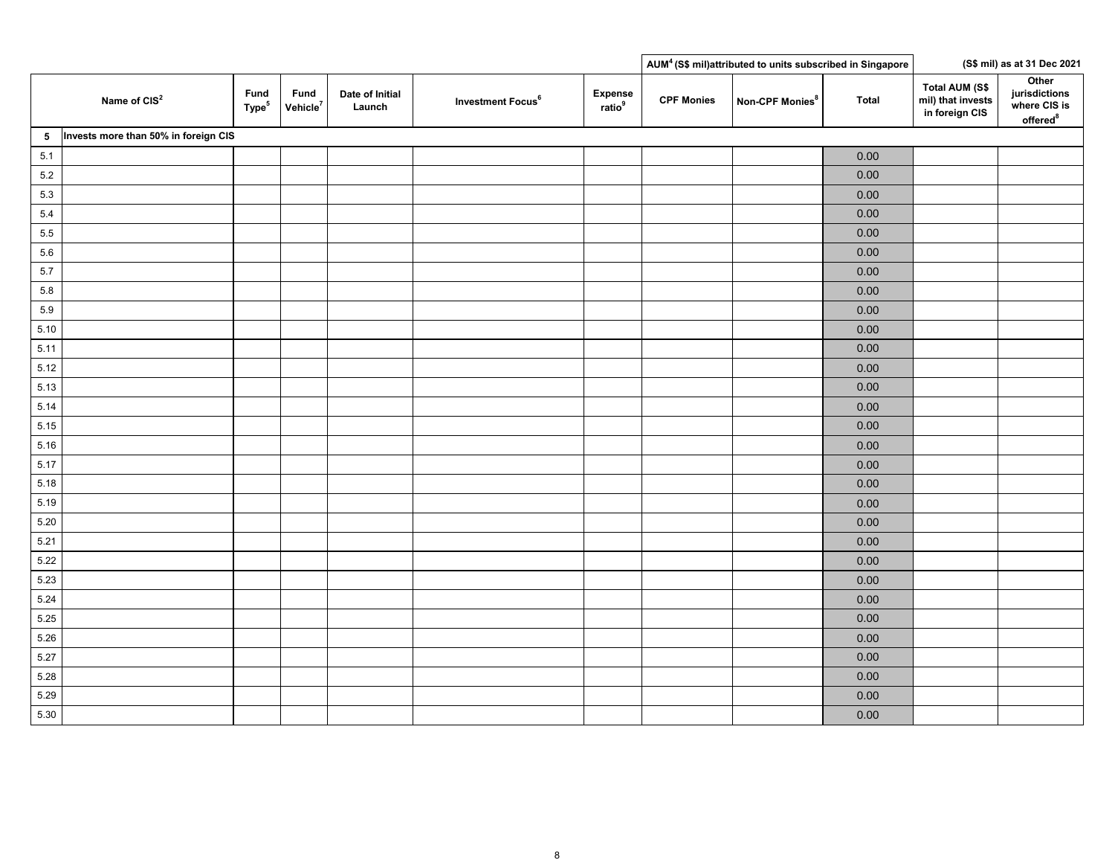|                |                                      |                           |                              |                           |                               |                               |                   | AUM <sup>4</sup> (S\$ mil)attributed to units subscribed in Singapore |              |                                                              | (S\$ mil) as at 31 Dec 2021                                    |
|----------------|--------------------------------------|---------------------------|------------------------------|---------------------------|-------------------------------|-------------------------------|-------------------|-----------------------------------------------------------------------|--------------|--------------------------------------------------------------|----------------------------------------------------------------|
|                | Name of CIS <sup>2</sup>             | Fund<br>Type <sup>5</sup> | Fund<br>Vehicle <sup>7</sup> | Date of Initial<br>Launch | Investment Focus <sup>6</sup> | Expense<br>ratio <sup>9</sup> | <b>CPF Monies</b> | Non-CPF Monies <sup>8</sup>                                           | <b>Total</b> | <b>Total AUM (S\$</b><br>mil) that invests<br>in foreign CIS | Other<br>jurisdictions<br>where CIS is<br>offered <sup>8</sup> |
| 5 <sub>5</sub> | Invests more than 50% in foreign CIS |                           |                              |                           |                               |                               |                   |                                                                       |              |                                                              |                                                                |
| $5.1$          |                                      |                           |                              |                           |                               |                               |                   |                                                                       | 0.00         |                                                              |                                                                |
| $5.2\,$        |                                      |                           |                              |                           |                               |                               |                   |                                                                       | 0.00         |                                                              |                                                                |
| 5.3            |                                      |                           |                              |                           |                               |                               |                   |                                                                       | 0.00         |                                                              |                                                                |
| $5.4\,$        |                                      |                           |                              |                           |                               |                               |                   |                                                                       | 0.00         |                                                              |                                                                |
| $5.5\,$        |                                      |                           |                              |                           |                               |                               |                   |                                                                       | $0.00\,$     |                                                              |                                                                |
| $5.6\,$        |                                      |                           |                              |                           |                               |                               |                   |                                                                       | $0.00\,$     |                                                              |                                                                |
| $5.7\,$        |                                      |                           |                              |                           |                               |                               |                   |                                                                       | $0.00\,$     |                                                              |                                                                |
| $5.8\,$        |                                      |                           |                              |                           |                               |                               |                   |                                                                       | $0.00\,$     |                                                              |                                                                |
| 5.9            |                                      |                           |                              |                           |                               |                               |                   |                                                                       | $0.00\,$     |                                                              |                                                                |
| 5.10           |                                      |                           |                              |                           |                               |                               |                   |                                                                       | 0.00         |                                                              |                                                                |
| 5.11           |                                      |                           |                              |                           |                               |                               |                   |                                                                       | $0.00\,$     |                                                              |                                                                |
| 5.12           |                                      |                           |                              |                           |                               |                               |                   |                                                                       | $0.00\,$     |                                                              |                                                                |
| 5.13           |                                      |                           |                              |                           |                               |                               |                   |                                                                       | $0.00\,$     |                                                              |                                                                |
| 5.14           |                                      |                           |                              |                           |                               |                               |                   |                                                                       | $0.00\,$     |                                                              |                                                                |
| 5.15           |                                      |                           |                              |                           |                               |                               |                   |                                                                       | $0.00\,$     |                                                              |                                                                |
| 5.16           |                                      |                           |                              |                           |                               |                               |                   |                                                                       | $0.00\,$     |                                                              |                                                                |
| 5.17           |                                      |                           |                              |                           |                               |                               |                   |                                                                       | 0.00         |                                                              |                                                                |
| 5.18           |                                      |                           |                              |                           |                               |                               |                   |                                                                       | 0.00         |                                                              |                                                                |
| 5.19           |                                      |                           |                              |                           |                               |                               |                   |                                                                       | 0.00         |                                                              |                                                                |
| 5.20           |                                      |                           |                              |                           |                               |                               |                   |                                                                       | 0.00         |                                                              |                                                                |
| 5.21           |                                      |                           |                              |                           |                               |                               |                   |                                                                       | $0.00\,$     |                                                              |                                                                |
| 5.22           |                                      |                           |                              |                           |                               |                               |                   |                                                                       | 0.00         |                                                              |                                                                |
| 5.23           |                                      |                           |                              |                           |                               |                               |                   |                                                                       | 0.00         |                                                              |                                                                |
| 5.24           |                                      |                           |                              |                           |                               |                               |                   |                                                                       | 0.00         |                                                              |                                                                |
| 5.25           |                                      |                           |                              |                           |                               |                               |                   |                                                                       | $0.00\,$     |                                                              |                                                                |
| 5.26           |                                      |                           |                              |                           |                               |                               |                   |                                                                       | 0.00         |                                                              |                                                                |
| 5.27           |                                      |                           |                              |                           |                               |                               |                   |                                                                       | 0.00         |                                                              |                                                                |
| 5.28           |                                      |                           |                              |                           |                               |                               |                   |                                                                       | $0.00\,$     |                                                              |                                                                |
| 5.29           |                                      |                           |                              |                           |                               |                               |                   |                                                                       | 0.00         |                                                              |                                                                |
| 5.30           |                                      |                           |                              |                           |                               |                               |                   |                                                                       | $0.00\,$     |                                                              |                                                                |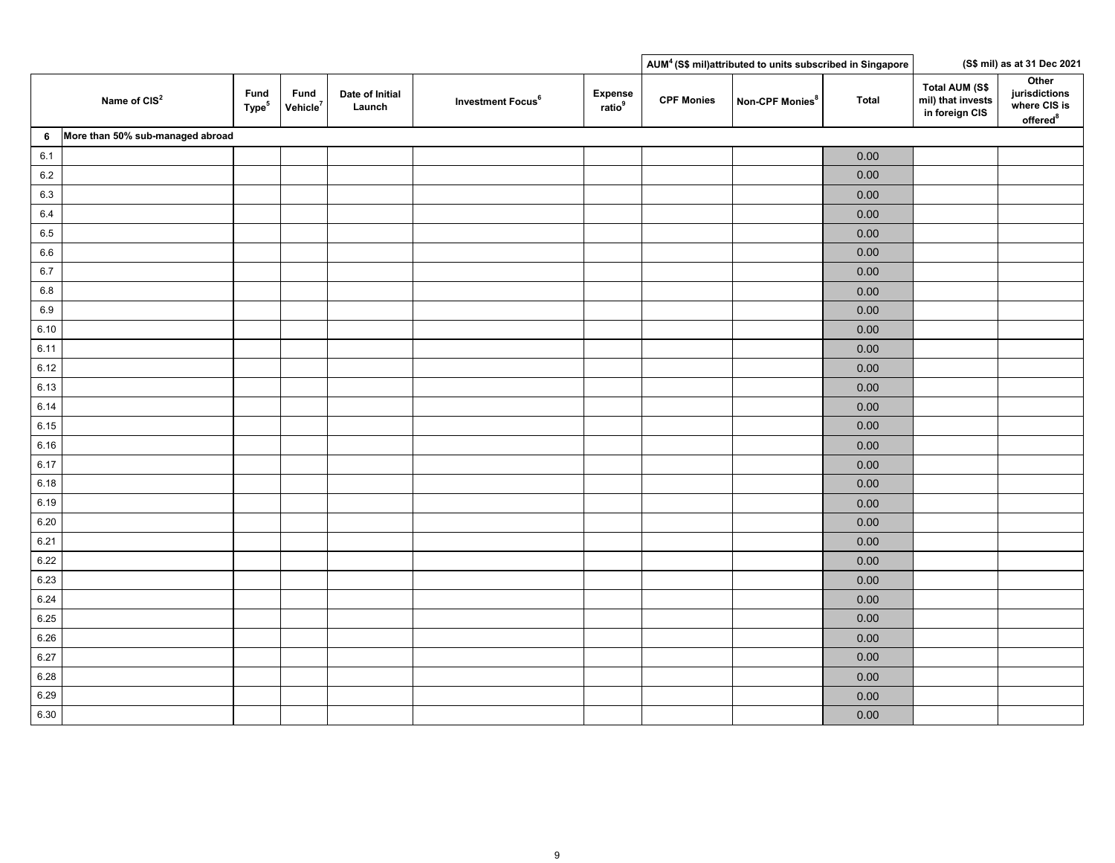|         |                                  |                           |                              |                           |                               |                                     |                   | AUM <sup>4</sup> (S\$ mil)attributed to units subscribed in Singapore |              |                                                              | (S\$ mil) as at 31 Dec 2021                                    |
|---------|----------------------------------|---------------------------|------------------------------|---------------------------|-------------------------------|-------------------------------------|-------------------|-----------------------------------------------------------------------|--------------|--------------------------------------------------------------|----------------------------------------------------------------|
|         | Name of CIS <sup>2</sup>         | Fund<br>Type <sup>5</sup> | Fund<br>Vehicle <sup>7</sup> | Date of Initial<br>Launch | Investment Focus <sup>6</sup> | <b>Expense</b><br>rate <sup>9</sup> | <b>CPF Monies</b> | Non-CPF Monies <sup>8</sup>                                           | <b>Total</b> | <b>Total AUM (S\$</b><br>mil) that invests<br>in foreign CIS | Other<br>jurisdictions<br>where CIS is<br>offered <sup>8</sup> |
| 6       | More than 50% sub-managed abroad |                           |                              |                           |                               |                                     |                   |                                                                       |              |                                                              |                                                                |
| $6.1\,$ |                                  |                           |                              |                           |                               |                                     |                   |                                                                       | 0.00         |                                                              |                                                                |
| $6.2\,$ |                                  |                           |                              |                           |                               |                                     |                   |                                                                       | 0.00         |                                                              |                                                                |
| 6.3     |                                  |                           |                              |                           |                               |                                     |                   |                                                                       | $0.00\,$     |                                                              |                                                                |
| $6.4\,$ |                                  |                           |                              |                           |                               |                                     |                   |                                                                       | 0.00         |                                                              |                                                                |
| 6.5     |                                  |                           |                              |                           |                               |                                     |                   |                                                                       | $0.00\,$     |                                                              |                                                                |
| 6.6     |                                  |                           |                              |                           |                               |                                     |                   |                                                                       | 0.00         |                                                              |                                                                |
| $6.7\,$ |                                  |                           |                              |                           |                               |                                     |                   |                                                                       | 0.00         |                                                              |                                                                |
| $6.8\,$ |                                  |                           |                              |                           |                               |                                     |                   |                                                                       | $0.00\,$     |                                                              |                                                                |
| $6.9\,$ |                                  |                           |                              |                           |                               |                                     |                   |                                                                       | 0.00         |                                                              |                                                                |
| 6.10    |                                  |                           |                              |                           |                               |                                     |                   |                                                                       | $0.00\,$     |                                                              |                                                                |
| 6.11    |                                  |                           |                              |                           |                               |                                     |                   |                                                                       | 0.00         |                                                              |                                                                |
| 6.12    |                                  |                           |                              |                           |                               |                                     |                   |                                                                       | 0.00         |                                                              |                                                                |
| 6.13    |                                  |                           |                              |                           |                               |                                     |                   |                                                                       | $0.00\,$     |                                                              |                                                                |
| 6.14    |                                  |                           |                              |                           |                               |                                     |                   |                                                                       | $0.00\,$     |                                                              |                                                                |
| 6.15    |                                  |                           |                              |                           |                               |                                     |                   |                                                                       | $0.00\,$     |                                                              |                                                                |
| 6.16    |                                  |                           |                              |                           |                               |                                     |                   |                                                                       | $0.00\,$     |                                                              |                                                                |
| 6.17    |                                  |                           |                              |                           |                               |                                     |                   |                                                                       | 0.00         |                                                              |                                                                |
| 6.18    |                                  |                           |                              |                           |                               |                                     |                   |                                                                       | $0.00\,$     |                                                              |                                                                |
| 6.19    |                                  |                           |                              |                           |                               |                                     |                   |                                                                       | $0.00\,$     |                                                              |                                                                |
| 6.20    |                                  |                           |                              |                           |                               |                                     |                   |                                                                       | $0.00\,$     |                                                              |                                                                |
| 6.21    |                                  |                           |                              |                           |                               |                                     |                   |                                                                       | $0.00\,$     |                                                              |                                                                |
| 6.22    |                                  |                           |                              |                           |                               |                                     |                   |                                                                       | $0.00\,$     |                                                              |                                                                |
| 6.23    |                                  |                           |                              |                           |                               |                                     |                   |                                                                       | $0.00\,$     |                                                              |                                                                |
| 6.24    |                                  |                           |                              |                           |                               |                                     |                   |                                                                       | $0.00\,$     |                                                              |                                                                |
| 6.25    |                                  |                           |                              |                           |                               |                                     |                   |                                                                       | $0.00\,$     |                                                              |                                                                |
| 6.26    |                                  |                           |                              |                           |                               |                                     |                   |                                                                       | $0.00\,$     |                                                              |                                                                |
| 6.27    |                                  |                           |                              |                           |                               |                                     |                   |                                                                       | 0.00         |                                                              |                                                                |
| 6.28    |                                  |                           |                              |                           |                               |                                     |                   |                                                                       | $0.00\,$     |                                                              |                                                                |
| 6.29    |                                  |                           |                              |                           |                               |                                     |                   |                                                                       | $0.00\,$     |                                                              |                                                                |
| 6.30    |                                  |                           |                              |                           |                               |                                     |                   |                                                                       | $0.00\,$     |                                                              |                                                                |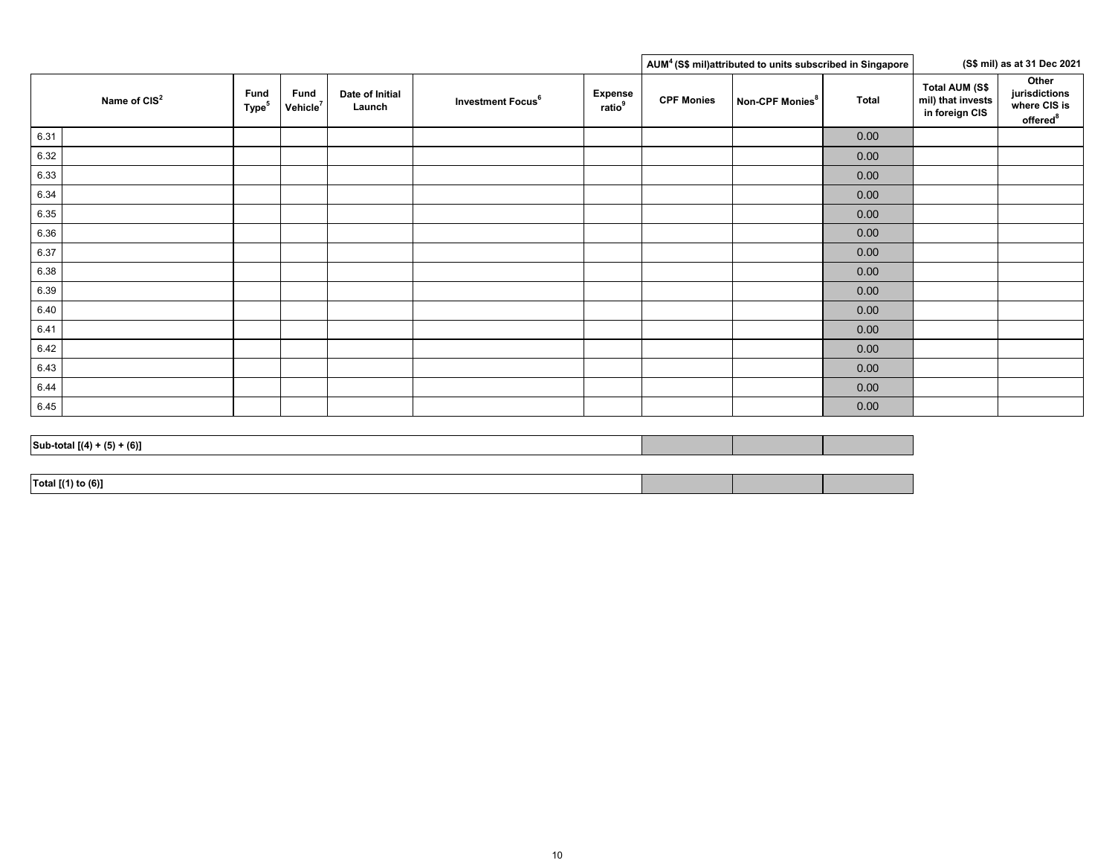|      |                               |                                  |                              |                           |                               |                                      |                   | AUM <sup>4</sup> (S\$ mil)attributed to units subscribed in Singapore |       |                                                              | (S\$ mil) as at 31 Dec 2021                                    |
|------|-------------------------------|----------------------------------|------------------------------|---------------------------|-------------------------------|--------------------------------------|-------------------|-----------------------------------------------------------------------|-------|--------------------------------------------------------------|----------------------------------------------------------------|
|      | Name of CIS <sup>2</sup>      | <b>Fund</b><br>Type <sup>5</sup> | Fund<br>Vehicle <sup>7</sup> | Date of Initial<br>Launch | Investment Focus <sup>6</sup> | <b>Expense</b><br>ratio <sup>9</sup> | <b>CPF Monies</b> | Non-CPF Monies <sup>8</sup>                                           | Total | <b>Total AUM (S\$</b><br>mil) that invests<br>in foreign CIS | Other<br>jurisdictions<br>where CIS is<br>offered <sup>8</sup> |
| 6.31 |                               |                                  |                              |                           |                               |                                      |                   |                                                                       | 0.00  |                                                              |                                                                |
| 6.32 |                               |                                  |                              |                           |                               |                                      |                   |                                                                       | 0.00  |                                                              |                                                                |
| 6.33 |                               |                                  |                              |                           |                               |                                      |                   |                                                                       | 0.00  |                                                              |                                                                |
| 6.34 |                               |                                  |                              |                           |                               |                                      |                   |                                                                       | 0.00  |                                                              |                                                                |
| 6.35 |                               |                                  |                              |                           |                               |                                      |                   |                                                                       | 0.00  |                                                              |                                                                |
| 6.36 |                               |                                  |                              |                           |                               |                                      |                   |                                                                       | 0.00  |                                                              |                                                                |
| 6.37 |                               |                                  |                              |                           |                               |                                      |                   |                                                                       | 0.00  |                                                              |                                                                |
| 6.38 |                               |                                  |                              |                           |                               |                                      |                   |                                                                       | 0.00  |                                                              |                                                                |
| 6.39 |                               |                                  |                              |                           |                               |                                      |                   |                                                                       | 0.00  |                                                              |                                                                |
| 6.40 |                               |                                  |                              |                           |                               |                                      |                   |                                                                       | 0.00  |                                                              |                                                                |
| 6.41 |                               |                                  |                              |                           |                               |                                      |                   |                                                                       | 0.00  |                                                              |                                                                |
| 6.42 |                               |                                  |                              |                           |                               |                                      |                   |                                                                       | 0.00  |                                                              |                                                                |
| 6.43 |                               |                                  |                              |                           |                               |                                      |                   |                                                                       | 0.00  |                                                              |                                                                |
| 6.44 |                               |                                  |                              |                           |                               |                                      |                   |                                                                       | 0.00  |                                                              |                                                                |
| 6.45 |                               |                                  |                              |                           |                               |                                      |                   |                                                                       | 0.00  |                                                              |                                                                |
|      |                               |                                  |                              |                           |                               |                                      |                   |                                                                       |       |                                                              |                                                                |
|      | Sub-total $[(4) + (5) + (6)]$ |                                  |                              |                           |                               |                                      |                   |                                                                       |       |                                                              |                                                                |

| .<br>Total II <sup>.</sup><br>- (6) 1<br>$\cdots$ |  |  |
|---------------------------------------------------|--|--|
|                                                   |  |  |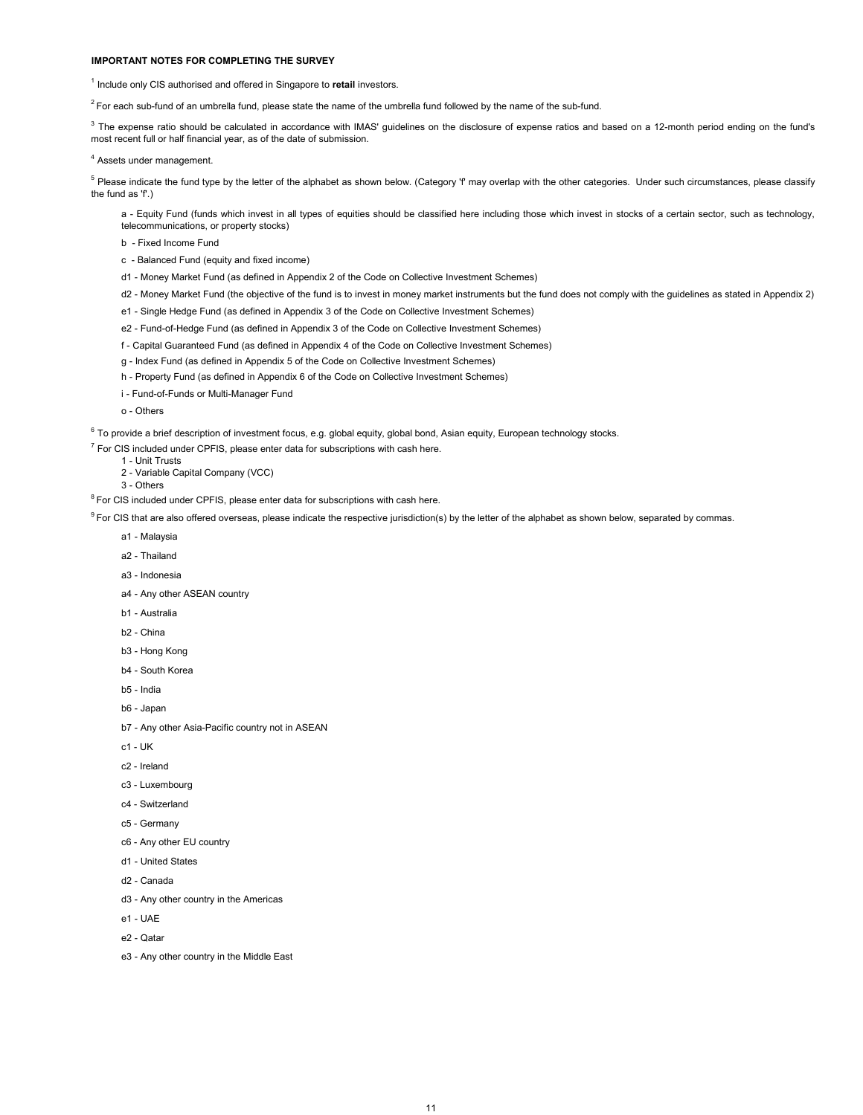#### **IMPORTANT NOTES FOR COMPLETING THE SURVEY**

<sup>1</sup> Include only CIS authorised and offered in Singapore to retail investors.

 $2$  For each sub-fund of an umbrella fund, please state the name of the umbrella fund followed by the name of the sub-fund.

<sup>3</sup> The expense ratio should be calculated in accordance with IMAS' guidelines on the disclosure of expense ratios and based on a 12-month period ending on the fund's most recent full or half financial year, as of the date of submission.

4 Assets under management.

<sup>5</sup> Please indicate the fund type by the letter of the alphabet as shown below. (Category 'f' may overlap with the other categories. Under such circumstances, please classify the fund as 'f'.)

a - Equity Fund (funds which invest in all types of equities should be classified here including those which invest in stocks of a certain sector, such as technology, telecommunications, or property stocks)

- b Fixed Income Fund
- c Balanced Fund (equity and fixed income)
- d1 Money Market Fund (as defined in Appendix 2 of the Code on Collective Investment Schemes)
- d2 Money Market Fund (the objective of the fund is to invest in money market instruments but the fund does not comply with the guidelines as stated in Appendix 2)
- e1 Single Hedge Fund (as defined in Appendix 3 of the Code on Collective Investment Schemes)
- e2 Fund-of-Hedge Fund (as defined in Appendix 3 of the Code on Collective Investment Schemes)
- f Capital Guaranteed Fund (as defined in Appendix 4 of the Code on Collective Investment Schemes)
- g Index Fund (as defined in Appendix 5 of the Code on Collective Investment Schemes)
- h Property Fund (as defined in Appendix 6 of the Code on Collective Investment Schemes)
- i Fund-of-Funds or Multi-Manager Fund
- o Others

 $^6$  To provide a brief description of investment focus, e.g. global equity, global bond, Asian equity, European technology stocks.

 $<sup>7</sup>$  For CIS included under CPFIS, please enter data for subscriptions with cash here.</sup>

- 1 Unit Trusts 2 - Variable Capital Company (VCC)
- 3 Others

 $8$  For CIS included under CPFIS, please enter data for subscriptions with cash here.

<sup>9</sup> For CIS that are also offered overseas, please indicate the respective jurisdiction(s) by the letter of the alphabet as shown below, separated by commas.

- a1 Malaysia
- a2 Thailand
- a3 Indonesia
- a4 Any other ASEAN country
- b1 Australia
- b2 China
- b3 Hong Kong
- b4 South Korea
- b5 India
- b6 Japan
- b7 Any other Asia-Pacific country not in ASEAN
- c1 UK
- c2 Ireland
- c3 Luxembourg
- c4 Switzerland
- c5 Germany
- c6 Any other EU country
- d1 United States
- d2 Canada
- d3 Any other country in the Americas
- e1 UAE
- e2 Qatar
- e3 Any other country in the Middle East